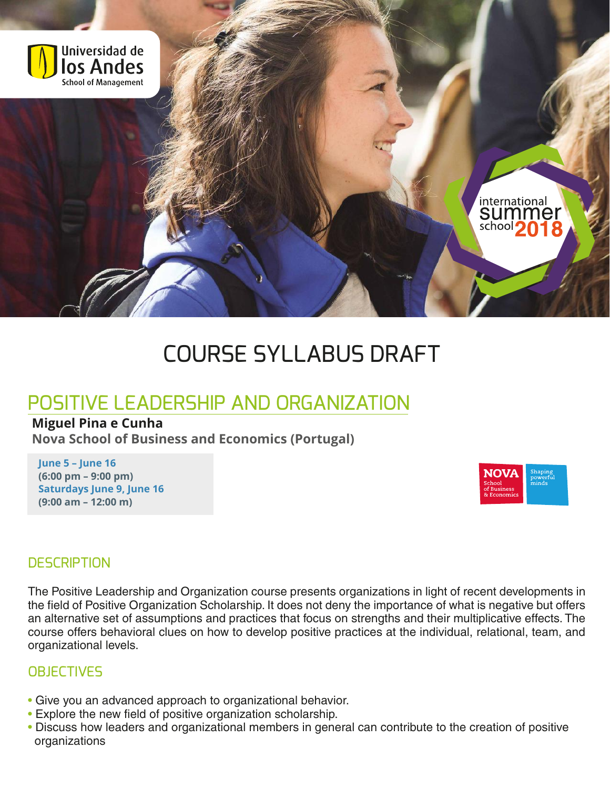

# COURSE SYLLABUS DRAFT

## POSITIVE LEADERSHIP AND ORGANIZATION

### **Miguel Pina e Cunha**

**Nova School of Business and Economics (Portugal)**

**June 5 – June 16 (6:00 pm – 9:00 pm) Saturdays June 9, June 16 (9:00 am – 12:00 m)**



#### **DESCRIPTION**

The Positive Leadership and Organization course presents organizations in light of recent developments in the field of Positive Organization Scholarship. It does not deny the importance of what is negative but offers an alternative set of assumptions and practices that focus on strengths and their multiplicative effects. The course offers behavioral clues on how to develop positive practices at the individual, relational, team, and organizational levels.

#### **OBJECTIVES**

- Give you an advanced approach to organizational behavior.
- Explore the new field of positive organization scholarship.
- Discuss how leaders and organizational members in general can contribute to the creation of positive organizations